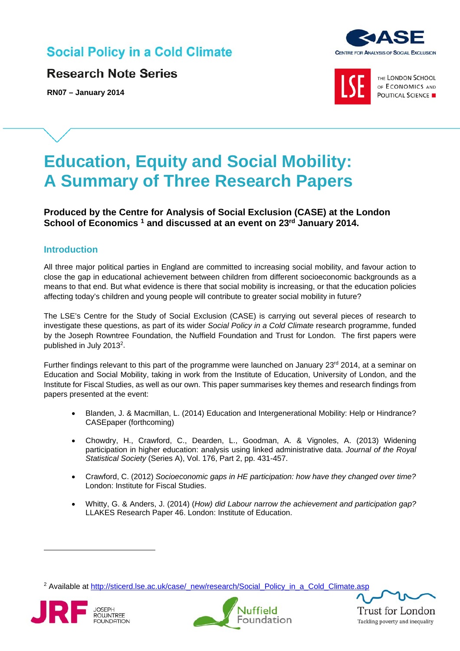# **Social Policy in a Cold Climate**



**RN07 – January 2014** 





THE LONDON SCHOOL OF ECONOMICS AND **POLITICAL SCIENCE** 

# **Education, Equity and Social Mobility: A Summary of Three Research Papers**

# **Produced by the Centre for Analysis of Social Exclusion (CASE) at the London School of Economics 1 and discussed at an event on 23rd January 2014.**

### **Introduction**

All three major political parties in England are committed to increasing social mobility, and favour action to close the gap in educational achievement between children from different socioeconomic backgrounds as a means to that end. But what evidence is there that social mobility is increasing, or that the education policies affecting today's children and young people will contribute to greater social mobility in future?

The LSE's Centre for the Study of Social Exclusion (CASE) is carrying out several pieces of research to investigate these questions, as part of its wider *Social Policy in a Cold Climate* research programme, funded by the Joseph Rowntree Foundation, the Nuffield Foundation and Trust for London. The first papers were published in July 2013<sup>2</sup>.

Further findings relevant to this part of the programme were launched on January  $23<sup>rd</sup> 2014$ , at a seminar on Education and Social Mobility, taking in work from the Institute of Education, University of London, and the Institute for Fiscal Studies, as well as our own. This paper summarises key themes and research findings from papers presented at the event:

- Blanden, J. & Macmillan, L. (2014) Education and Intergenerational Mobility: Help or Hindrance? CASEpaper (forthcoming)
- Chowdry, H., Crawford, C., Dearden, L., Goodman, A. & Vignoles, A. (2013) Widening participation in higher education: analysis using linked administrative data. *Journal of the Royal Statistical Society* (Series A), Vol. 176, Part 2, pp. 431-457.
- Crawford, C. (2012) *Socioeconomic gaps in HE participation: how have they changed over time?* London: Institute for Fiscal Studies.
- Whitty, G. & Anders, J. (2014) (*How) did Labour narrow the achievement and participation gap?* LLAKES Research Paper 46. London: Institute of Education.

<sup>2</sup> Available at http://sticerd.lse.ac.uk/case/\_new/research/Social\_Policy\_in\_a\_Cold\_Climate.asp







Tackling poverty and inequality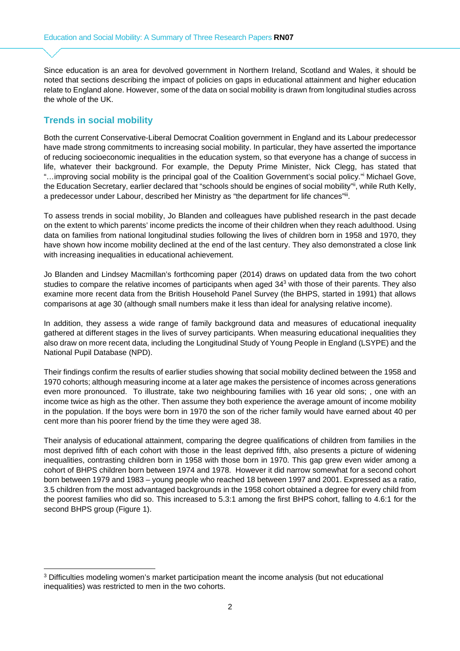Since education is an area for devolved government in Northern Ireland, Scotland and Wales, it should be noted that sections describing the impact of policies on gaps in educational attainment and higher education relate to England alone. However, some of the data on social mobility is drawn from longitudinal studies across the whole of the UK.

#### **Trends in social mobility**

Both the current Conservative-Liberal Democrat Coalition government in England and its Labour predecessor have made strong commitments to increasing social mobility. In particular, they have asserted the importance of reducing socioeconomic inequalities in the education system, so that everyone has a change of success in life, whatever their background. For example, the Deputy Prime Minister, Nick Clegg, has stated that "…improving social mobility is the principal goal of the Coalition Government's social policy."i Michael Gove, the Education Secretary, earlier declared that "schools should be engines of social mobility"ii, while Ruth Kelly, a predecessor under Labour, described her Ministry as "the department for life chances"iii.

To assess trends in social mobility, Jo Blanden and colleagues have published research in the past decade on the extent to which parents' income predicts the income of their children when they reach adulthood. Using data on families from national longitudinal studies following the lives of children born in 1958 and 1970, they have shown how income mobility declined at the end of the last century. They also demonstrated a close link with increasing inequalities in educational achievement.

Jo Blanden and Lindsey Macmillan's forthcoming paper (2014) draws on updated data from the two cohort studies to compare the relative incomes of participants when aged  $34<sup>3</sup>$  with those of their parents. They also examine more recent data from the British Household Panel Survey (the BHPS, started in 1991) that allows comparisons at age 30 (although small numbers make it less than ideal for analysing relative income).

In addition, they assess a wide range of family background data and measures of educational inequality gathered at different stages in the lives of survey participants. When measuring educational inequalities they also draw on more recent data, including the Longitudinal Study of Young People in England (LSYPE) and the National Pupil Database (NPD).

Their findings confirm the results of earlier studies showing that social mobility declined between the 1958 and 1970 cohorts; although measuring income at a later age makes the persistence of incomes across generations even more pronounced. To illustrate, take two neighbouring families with 16 year old sons; , one with an income twice as high as the other. Then assume they both experience the average amount of income mobility in the population. If the boys were born in 1970 the son of the richer family would have earned about 40 per cent more than his poorer friend by the time they were aged 38.

Their analysis of educational attainment, comparing the degree qualifications of children from families in the most deprived fifth of each cohort with those in the least deprived fifth, also presents a picture of widening inequalities, contrasting children born in 1958 with those born in 1970. This gap grew even wider among a cohort of BHPS children born between 1974 and 1978. However it did narrow somewhat for a second cohort born between 1979 and 1983 – young people who reached 18 between 1997 and 2001. Expressed as a ratio, 3.5 children from the most advantaged backgrounds in the 1958 cohort obtained a degree for every child from the poorest families who did so. This increased to 5.3:1 among the first BHPS cohort, falling to 4.6:1 for the second BHPS group (Figure 1).

<sup>&</sup>lt;sup>3</sup> Difficulties modeling women's market participation meant the income analysis (but not educational inequalities) was restricted to men in the two cohorts.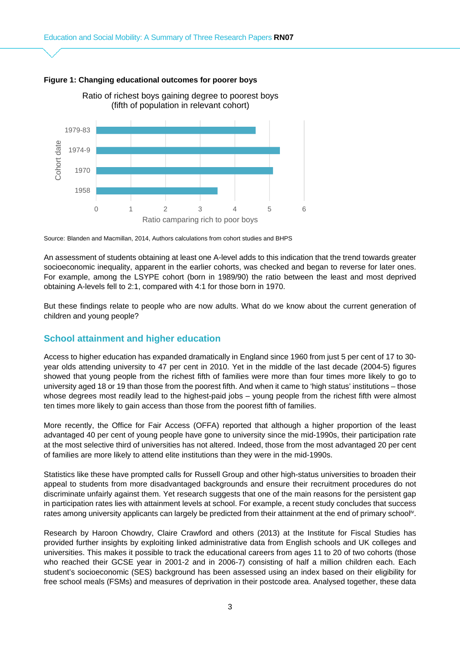

Ratio of richest boys gaining degree to poorest boys



Source: Blanden and Macmillan, 2014, Authors calculations from cohort studies and BHPS

An assessment of students obtaining at least one A-level adds to this indication that the trend towards greater socioeconomic inequality, apparent in the earlier cohorts, was checked and began to reverse for later ones. For example, among the LSYPE cohort (born in 1989/90) the ratio between the least and most deprived obtaining A-levels fell to 2:1, compared with 4:1 for those born in 1970.

But these findings relate to people who are now adults. What do we know about the current generation of children and young people?

#### **School attainment and higher education**

Access to higher education has expanded dramatically in England since 1960 from just 5 per cent of 17 to 30 year olds attending university to 47 per cent in 2010. Yet in the middle of the last decade (2004-5) figures showed that young people from the richest fifth of families were more than four times more likely to go to university aged 18 or 19 than those from the poorest fifth. And when it came to 'high status' institutions – those whose degrees most readily lead to the highest-paid jobs – young people from the richest fifth were almost ten times more likely to gain access than those from the poorest fifth of families.

More recently, the Office for Fair Access (OFFA) reported that although a higher proportion of the least advantaged 40 per cent of young people have gone to university since the mid-1990s, their participation rate at the most selective third of universities has not altered. Indeed, those from the most advantaged 20 per cent of families are more likely to attend elite institutions than they were in the mid-1990s.

Statistics like these have prompted calls for Russell Group and other high-status universities to broaden their appeal to students from more disadvantaged backgrounds and ensure their recruitment procedures do not discriminate unfairly against them. Yet research suggests that one of the main reasons for the persistent gap in participation rates lies with attainment levels at school. For example, a recent study concludes that success rates among university applicants can largely be predicted from their attainment at the end of primary school<sup>iv</sup>.

Research by Haroon Chowdry, Claire Crawford and others (2013) at the Institute for Fiscal Studies has provided further insights by exploiting linked administrative data from English schools and UK colleges and universities. This makes it possible to track the educational careers from ages 11 to 20 of two cohorts (those who reached their GCSE year in 2001-2 and in 2006-7) consisting of half a million children each. Each student's socioeconomic (SES) background has been assessed using an index based on their eligibility for free school meals (FSMs) and measures of deprivation in their postcode area. Analysed together, these data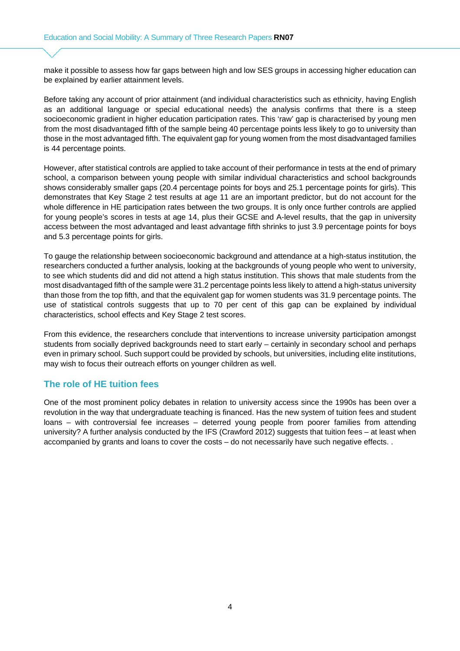make it possible to assess how far gaps between high and low SES groups in accessing higher education can be explained by earlier attainment levels.

Before taking any account of prior attainment (and individual characteristics such as ethnicity, having English as an additional language or special educational needs) the analysis confirms that there is a steep socioeconomic gradient in higher education participation rates. This 'raw' gap is characterised by young men from the most disadvantaged fifth of the sample being 40 percentage points less likely to go to university than those in the most advantaged fifth. The equivalent gap for young women from the most disadvantaged families is 44 percentage points.

However, after statistical controls are applied to take account of their performance in tests at the end of primary school, a comparison between young people with similar individual characteristics and school backgrounds shows considerably smaller gaps (20.4 percentage points for boys and 25.1 percentage points for girls). This demonstrates that Key Stage 2 test results at age 11 are an important predictor, but do not account for the whole difference in HE participation rates between the two groups. It is only once further controls are applied for young people's scores in tests at age 14, plus their GCSE and A-level results, that the gap in university access between the most advantaged and least advantage fifth shrinks to just 3.9 percentage points for boys and 5.3 percentage points for girls.

To gauge the relationship between socioeconomic background and attendance at a high-status institution, the researchers conducted a further analysis, looking at the backgrounds of young people who went to university, to see which students did and did not attend a high status institution. This shows that male students from the most disadvantaged fifth of the sample were 31.2 percentage points less likely to attend a high-status university than those from the top fifth, and that the equivalent gap for women students was 31.9 percentage points. The use of statistical controls suggests that up to 70 per cent of this gap can be explained by individual characteristics, school effects and Key Stage 2 test scores.

From this evidence, the researchers conclude that interventions to increase university participation amongst students from socially deprived backgrounds need to start early – certainly in secondary school and perhaps even in primary school. Such support could be provided by schools, but universities, including elite institutions, may wish to focus their outreach efforts on younger children as well.

#### **The role of HE tuition fees**

One of the most prominent policy debates in relation to university access since the 1990s has been over a revolution in the way that undergraduate teaching is financed. Has the new system of tuition fees and student loans – with controversial fee increases – deterred young people from poorer families from attending university? A further analysis conducted by the IFS (Crawford 2012) suggests that tuition fees – at least when accompanied by grants and loans to cover the costs – do not necessarily have such negative effects. .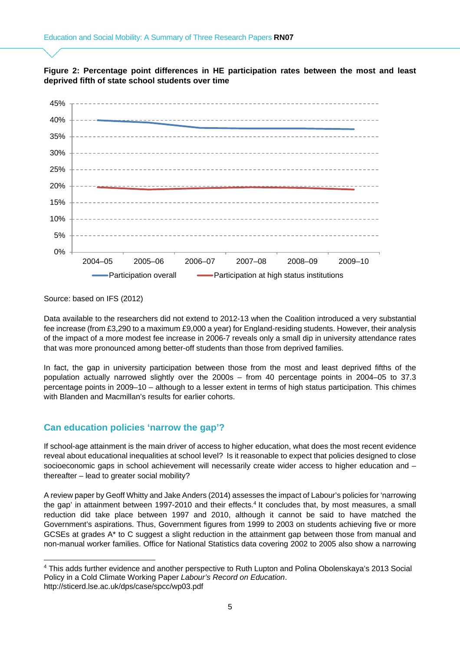



Source: based on IFS (2012)

Data available to the researchers did not extend to 2012-13 when the Coalition introduced a very substantial fee increase (from £3,290 to a maximum £9,000 a year) for England-residing students. However, their analysis of the impact of a more modest fee increase in 2006-7 reveals only a small dip in university attendance rates that was more pronounced among better-off students than those from deprived families.

In fact, the gap in university participation between those from the most and least deprived fifths of the population actually narrowed slightly over the 2000s – from 40 percentage points in 2004–05 to 37.3 percentage points in 2009–10 – although to a lesser extent in terms of high status participation. This chimes with Blanden and Macmillan's results for earlier cohorts.

#### **Can education policies 'narrow the gap'?**

If school-age attainment is the main driver of access to higher education, what does the most recent evidence reveal about educational inequalities at school level? Is it reasonable to expect that policies designed to close socioeconomic gaps in school achievement will necessarily create wider access to higher education and thereafter – lead to greater social mobility?

A review paper by Geoff Whitty and Jake Anders (2014) assesses the impact of Labour's policies for 'narrowing the gap' in attainment between 1997-2010 and their effects.<sup>4</sup> It concludes that, by most measures, a small reduction did take place between 1997 and 2010, although it cannot be said to have matched the Government's aspirations. Thus, Government figures from 1999 to 2003 on students achieving five or more GCSEs at grades A<sup>\*</sup> to C suggest a slight reduction in the attainment gap between those from manual and non-manual worker families. Office for National Statistics data covering 2002 to 2005 also show a narrowing

<sup>4</sup> This adds further evidence and another perspective to Ruth Lupton and Polina Obolenskaya's 2013 Social Policy in a Cold Climate Working Paper *Labour's Record on Education*. http://sticerd.lse.ac.uk/dps/case/spcc/wp03.pdf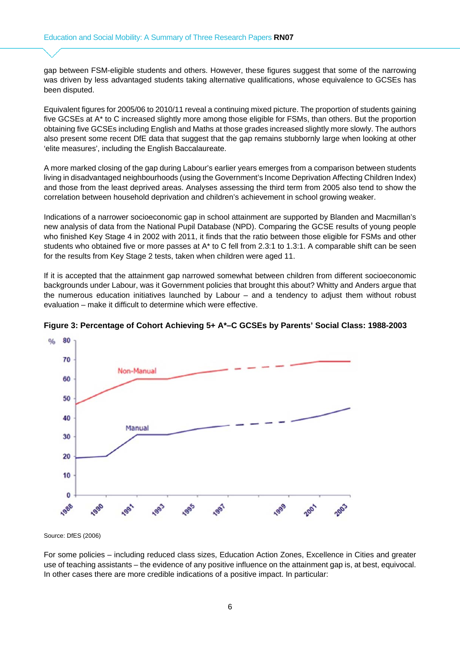gap between FSM-eligible students and others. However, these figures suggest that some of the narrowing was driven by less advantaged students taking alternative qualifications, whose equivalence to GCSEs has been disputed.

Equivalent figures for 2005/06 to 2010/11 reveal a continuing mixed picture. The proportion of students gaining five GCSEs at A\* to C increased slightly more among those eligible for FSMs, than others. But the proportion obtaining five GCSEs including English and Maths at those grades increased slightly more slowly. The authors also present some recent DfE data that suggest that the gap remains stubbornly large when looking at other 'elite measures', including the English Baccalaureate.

A more marked closing of the gap during Labour's earlier years emerges from a comparison between students living in disadvantaged neighbourhoods (using the Government's Income Deprivation Affecting Children Index) and those from the least deprived areas. Analyses assessing the third term from 2005 also tend to show the correlation between household deprivation and children's achievement in school growing weaker.

Indications of a narrower socioeconomic gap in school attainment are supported by Blanden and Macmillan's new analysis of data from the National Pupil Database (NPD). Comparing the GCSE results of young people who finished Key Stage 4 in 2002 with 2011, it finds that the ratio between those eligible for FSMs and other students who obtained five or more passes at A<sup>\*</sup> to C fell from 2.3:1 to 1.3:1. A comparable shift can be seen for the results from Key Stage 2 tests, taken when children were aged 11.

If it is accepted that the attainment gap narrowed somewhat between children from different socioeconomic backgrounds under Labour, was it Government policies that brought this about? Whitty and Anders argue that the numerous education initiatives launched by Labour – and a tendency to adjust them without robust evaluation – make it difficult to determine which were effective.



**Figure 3: Percentage of Cohort Achieving 5+ A\*–C GCSEs by Parents' Social Class: 1988-2003** 

Source: DfES (2006)

For some policies – including reduced class sizes, Education Action Zones, Excellence in Cities and greater use of teaching assistants – the evidence of any positive influence on the attainment gap is, at best, equivocal. In other cases there are more credible indications of a positive impact. In particular: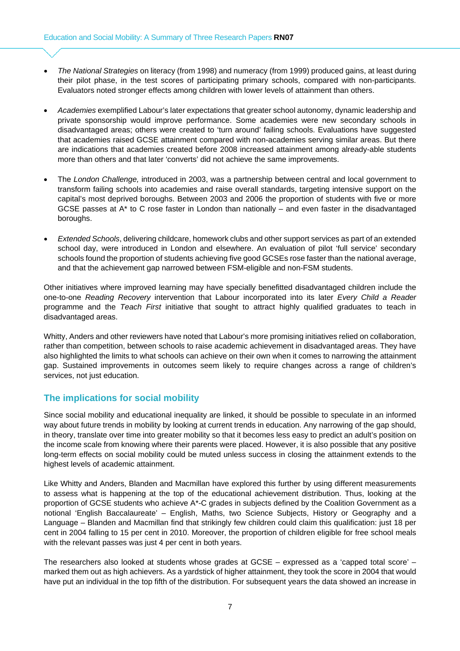- *The National Strategies* on literacy (from 1998) and numeracy (from 1999) produced gains, at least during their pilot phase, in the test scores of participating primary schools, compared with non-participants. Evaluators noted stronger effects among children with lower levels of attainment than others.
- *Academies* exemplified Labour's later expectations that greater school autonomy, dynamic leadership and private sponsorship would improve performance. Some academies were new secondary schools in disadvantaged areas; others were created to 'turn around' failing schools. Evaluations have suggested that academies raised GCSE attainment compared with non-academies serving similar areas. But there are indications that academies created before 2008 increased attainment among already-able students more than others and that later 'converts' did not achieve the same improvements.
- The *London Challenge,* introduced in 2003, was a partnership between central and local government to transform failing schools into academies and raise overall standards, targeting intensive support on the capital's most deprived boroughs. Between 2003 and 2006 the proportion of students with five or more GCSE passes at  $A^*$  to C rose faster in London than nationally – and even faster in the disadvantaged boroughs.
- *Extended Schools*, delivering childcare, homework clubs and other support services as part of an extended school day, were introduced in London and elsewhere. An evaluation of pilot 'full service' secondary schools found the proportion of students achieving five good GCSEs rose faster than the national average, and that the achievement gap narrowed between FSM-eligible and non-FSM students.

Other initiatives where improved learning may have specially benefitted disadvantaged children include the one-to-one *Reading Recovery* intervention that Labour incorporated into its later *Every Child a Reader* programme and the *Teach First* initiative that sought to attract highly qualified graduates to teach in disadvantaged areas.

Whitty, Anders and other reviewers have noted that Labour's more promising initiatives relied on collaboration, rather than competition, between schools to raise academic achievement in disadvantaged areas. They have also highlighted the limits to what schools can achieve on their own when it comes to narrowing the attainment gap. Sustained improvements in outcomes seem likely to require changes across a range of children's services, not just education.

# **The implications for social mobility**

Since social mobility and educational inequality are linked, it should be possible to speculate in an informed way about future trends in mobility by looking at current trends in education. Any narrowing of the gap should, in theory, translate over time into greater mobility so that it becomes less easy to predict an adult's position on the income scale from knowing where their parents were placed. However, it is also possible that any positive long-term effects on social mobility could be muted unless success in closing the attainment extends to the highest levels of academic attainment.

Like Whitty and Anders, Blanden and Macmillan have explored this further by using different measurements to assess what is happening at the top of the educational achievement distribution. Thus, looking at the proportion of GCSE students who achieve A\*-C grades in subjects defined by the Coalition Government as a notional 'English Baccalaureate' – English, Maths, two Science Subjects, History or Geography and a Language – Blanden and Macmillan find that strikingly few children could claim this qualification: just 18 per cent in 2004 falling to 15 per cent in 2010. Moreover, the proportion of children eligible for free school meals with the relevant passes was just 4 per cent in both years.

The researchers also looked at students whose grades at GCSE – expressed as a 'capped total score' – marked them out as high achievers. As a yardstick of higher attainment, they took the score in 2004 that would have put an individual in the top fifth of the distribution. For subsequent years the data showed an increase in